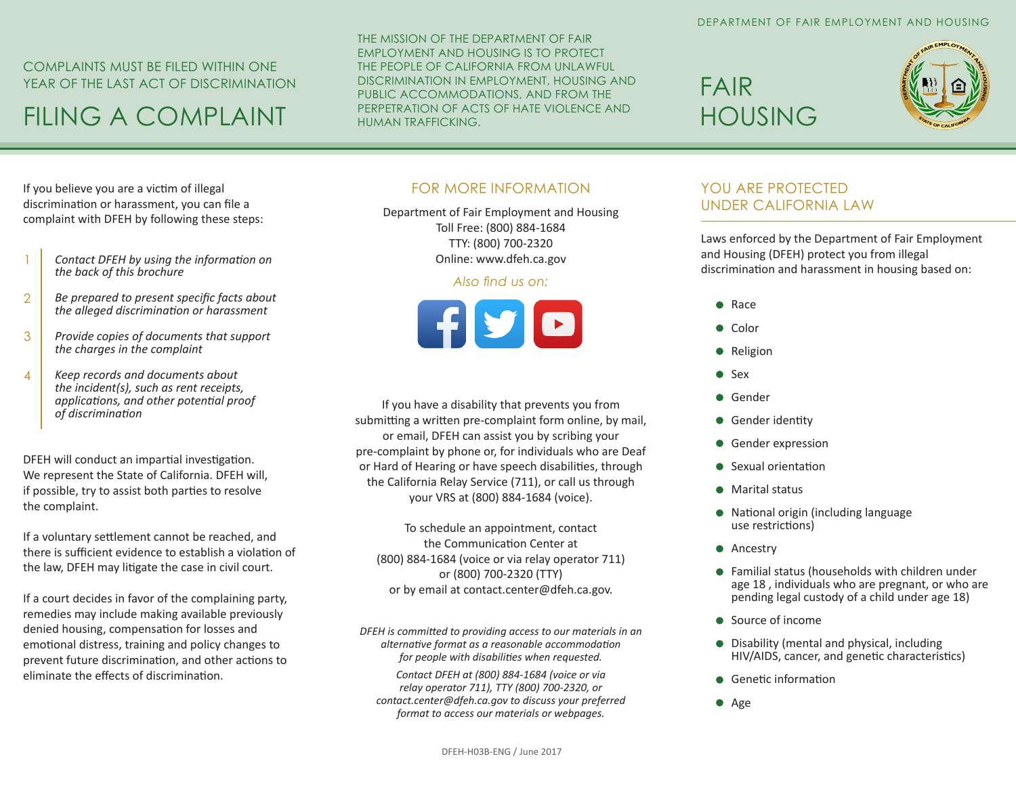### COMPLAINTS MUST BE FILED WITHIN ONE YEAR OF THE LAST ACT OF DISCRIMINATION

# FILING A COMPLAINT

THE MISSION OF THE DEPARTMENT OF FAIR EMPLOYMENT AND HOUSING IS TO PROTECT THE PEOPLE OF CALIFORNIA FROM UNLAWFUL DISCRIMINATION IN EMPLOYMENT, HOUSING AND PUBLIC ACCOMMODATIONS, AND FROM THE PERPETRATION OF ACTS OF HATE VIOLENCE AND HUMAN TRAFFICKING.

# FAIR HOUSING



If you believe you are a victim of illegal discrimination or harassment, you can file a complaint with DFEH by following these steps:

- *Contact DFEH by using the information on the back of this brochure* 1
- *Be prepared to present specific facts about the alleged discrimination or harassment* 2
- *Provide copies of documents that support the charges in the complaint* 3
- *Keep records and documents about the incident(s), such as rent receipts, applications, and other potential proof of discrimination*  4

DFEH will conduct an impartial investigation. We represent the State of California. DFEH will, if possible, try to assist both parties to resolve the complaint.

If a voluntary settlement cannot be reached, and there is sufficient evidence to establish a violation of the law, DFEH may litigate the case in civil court.

If a court decides in favor of the complaining party, remedies may include making available previously denied housing, compensation for losses and emotional distress, training and policy changes to prevent future discrimination, and other actions to eliminate the effects of discrimination.

## FOR MORE INFORMATION

Department of Fair Employment and Housing Toll Free: (800) 884-1684 TTY: (800) 700-2320 Online: www.dfeh.ca.gov

#### *Also find us on:*



If you have a disability that prevents you from submitting a written pre-complaint form online, by mail, or email, DFEH can assist you by scribing your pre-complaint by phone or, for individuals who are Deaf or Hard of Hearing or have speech disabilities, through the California Relay Service (711), or call us through your VRS at (800) 884-1684 (voice).

To schedule an appointment, contact the Communication Center at (800) 884-1684 (voice or via relay operator 711) or (800) 700-2320 (TTY) or by email at contact.center@dfeh.ca.gov.

*DFEH is committed to providing access to our materials in an alternative format as a reasonable accommodation for people with disabilities when requested.* 

*Contact DFEH at (800) 884-1684 (voice or via relay operator 711), TTY (800) 700-2320, or contact.center@dfeh.ca.gov to discuss your preferred format to access our materials or webpages.* 

### YOU ARE PROTECTED UNDER CALIFORNIA LAW

Laws enforced by the Department of Fair Employment and Housing (DFEH) protect you from illegal discrimination and harassment in housing based on:

- Race
- Color
- Religion
- Sex
- **Gender**
- Gender identity
- **Gender expression**
- Sexual orientation
- **•** Marital status
- National origin (including language use restrictions)
- **Ancestry**
- Familial status (households with children under age 18 , individuals who are pregnant, or who are pending legal custody of a child under age 18)
- Source of income
- Disability (mental and physical, including HIV/AIDS, cancer, and genetic characteristics)
- **•** Genetic information
- Age